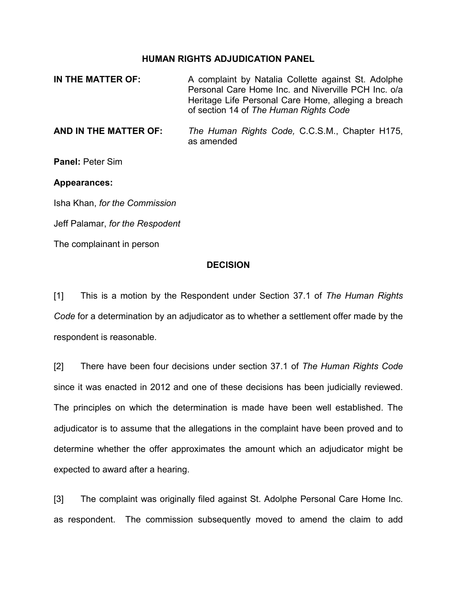## **HUMAN RIGHTS ADJUDICATION PANEL**

| IN THE MATTER OF: | A complaint by Natalia Collette against St. Adolphe<br>Personal Care Home Inc. and Niverville PCH Inc. o/a |
|-------------------|------------------------------------------------------------------------------------------------------------|
|                   | Heritage Life Personal Care Home, alleging a breach<br>of section 14 of The Human Rights Code              |
|                   |                                                                                                            |

**AND IN THE MATTER OF:** *The Human Rights Code,* C.C.S.M., Chapter H175, as amended

**Panel:** Peter Sim

## **Appearances:**

Isha Khan, *for the Commission*

Jeff Palamar, *for the Respodent*

The complainant in person

## **DECISION**

[1] This is a motion by the Respondent under Section 37.1 of *The Human Rights Code* for a determination by an adjudicator as to whether a settlement offer made by the respondent is reasonable.

[2] There have been four decisions under section 37.1 of *The Human Rights Code* since it was enacted in 2012 and one of these decisions has been judicially reviewed. The principles on which the determination is made have been well established. The adjudicator is to assume that the allegations in the complaint have been proved and to determine whether the offer approximates the amount which an adjudicator might be expected to award after a hearing.

[3] The complaint was originally filed against St. Adolphe Personal Care Home Inc. as respondent. The commission subsequently moved to amend the claim to add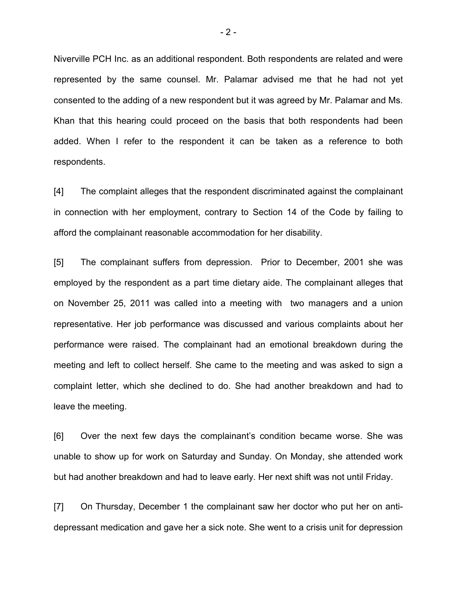Niverville PCH Inc. as an additional respondent. Both respondents are related and were represented by the same counsel. Mr. Palamar advised me that he had not yet consented to the adding of a new respondent but it was agreed by Mr. Palamar and Ms. Khan that this hearing could proceed on the basis that both respondents had been added. When I refer to the respondent it can be taken as a reference to both respondents.

[4] The complaint alleges that the respondent discriminated against the complainant in connection with her employment, contrary to Section 14 of the Code by failing to afford the complainant reasonable accommodation for her disability.

[5] The complainant suffers from depression. Prior to December, 2001 she was employed by the respondent as a part time dietary aide. The complainant alleges that on November 25, 2011 was called into a meeting with two managers and a union representative. Her job performance was discussed and various complaints about her performance were raised. The complainant had an emotional breakdown during the meeting and left to collect herself. She came to the meeting and was asked to sign a complaint letter, which she declined to do. She had another breakdown and had to leave the meeting.

[6] Over the next few days the complainant's condition became worse. She was unable to show up for work on Saturday and Sunday. On Monday, she attended work but had another breakdown and had to leave early. Her next shift was not until Friday.

[7] On Thursday, December 1 the complainant saw her doctor who put her on antidepressant medication and gave her a sick note. She went to a crisis unit for depression

- 2 -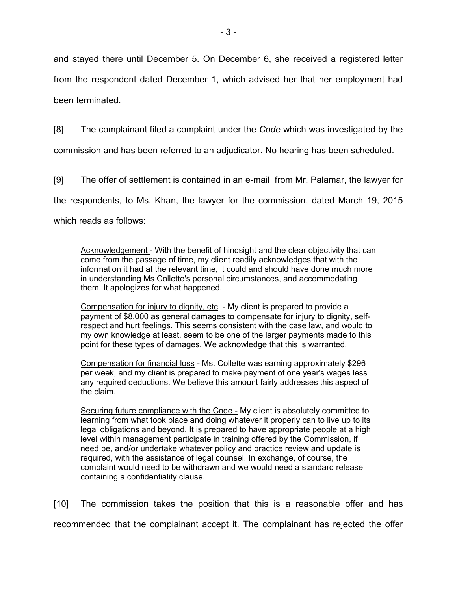and stayed there until December 5. On December 6, she received a registered letter from the respondent dated December 1, which advised her that her employment had been terminated.

[8] The complainant filed a complaint under the *Code* which was investigated by the commission and has been referred to an adjudicator. No hearing has been scheduled.

[9] The offer of settlement is contained in an e-mail from Mr. Palamar, the lawyer for the respondents, to Ms. Khan, the lawyer for the commission, dated March 19, 2015 which reads as follows:

Acknowledgement - With the benefit of hindsight and the clear objectivity that can come from the passage of time, my client readily acknowledges that with the information it had at the relevant time, it could and should have done much more in understanding Ms Collette's personal circumstances, and accommodating them. It apologizes for what happened.

Compensation for injury to dignity, etc. - My client is prepared to provide a payment of \$8,000 as general damages to compensate for injury to dignity, selfrespect and hurt feelings. This seems consistent with the case law, and would to my own knowledge at least, seem to be one of the larger payments made to this point for these types of damages. We acknowledge that this is warranted.

Compensation for financial loss - Ms. Collette was earning approximately \$296 per week, and my client is prepared to make payment of one year's wages less any required deductions. We believe this amount fairly addresses this aspect of the claim.

Securing future compliance with the Code - My client is absolutely committed to learning from what took place and doing whatever it properly can to live up to its legal obligations and beyond. It is prepared to have appropriate people at a high level within management participate in training offered by the Commission, if need be, and/or undertake whatever policy and practice review and update is required, with the assistance of legal counsel. In exchange, of course, the complaint would need to be withdrawn and we would need a standard release containing a confidentiality clause.

[10] The commission takes the position that this is a reasonable offer and has recommended that the complainant accept it. The complainant has rejected the offer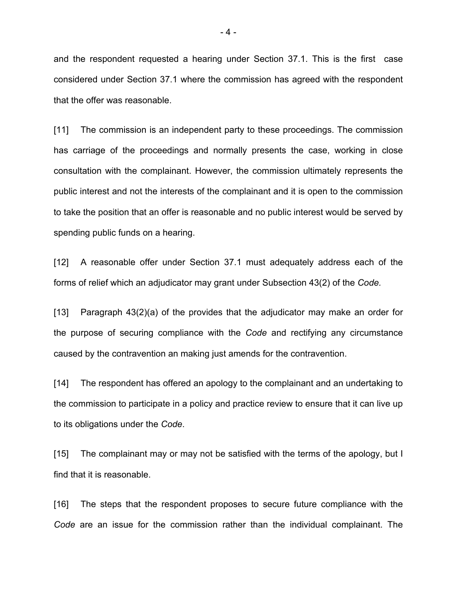and the respondent requested a hearing under Section 37.1. This is the first case considered under Section 37.1 where the commission has agreed with the respondent that the offer was reasonable.

[11] The commission is an independent party to these proceedings. The commission has carriage of the proceedings and normally presents the case, working in close consultation with the complainant. However, the commission ultimately represents the public interest and not the interests of the complainant and it is open to the commission to take the position that an offer is reasonable and no public interest would be served by spending public funds on a hearing.

[12] A reasonable offer under Section 37.1 must adequately address each of the forms of relief which an adjudicator may grant under Subsection 43(2) of the *Code.*

[13] Paragraph 43(2)(a) of the provides that the adjudicator may make an order for the purpose of securing compliance with the *Code* and rectifying any circumstance caused by the contravention an making just amends for the contravention.

[14] The respondent has offered an apology to the complainant and an undertaking to the commission to participate in a policy and practice review to ensure that it can live up to its obligations under the *Code*.

[15] The complainant may or may not be satisfied with the terms of the apology, but I find that it is reasonable.

[16] The steps that the respondent proposes to secure future compliance with the *Code* are an issue for the commission rather than the individual complainant. The

- 4 -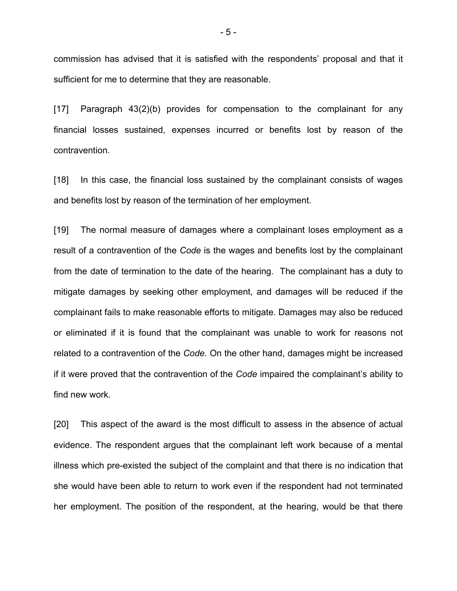commission has advised that it is satisfied with the respondents' proposal and that it sufficient for me to determine that they are reasonable.

[17] Paragraph 43(2)(b) provides for compensation to the complainant for any financial losses sustained, expenses incurred or benefits lost by reason of the contravention.

[18] In this case, the financial loss sustained by the complainant consists of wages and benefits lost by reason of the termination of her employment.

[19] The normal measure of damages where a complainant loses employment as a result of a contravention of the *Code* is the wages and benefits lost by the complainant from the date of termination to the date of the hearing. The complainant has a duty to mitigate damages by seeking other employment, and damages will be reduced if the complainant fails to make reasonable efforts to mitigate. Damages may also be reduced or eliminated if it is found that the complainant was unable to work for reasons not related to a contravention of the *Code.* On the other hand, damages might be increased if it were proved that the contravention of the *Code* impaired the complainant's ability to find new work.

[20] This aspect of the award is the most difficult to assess in the absence of actual evidence. The respondent argues that the complainant left work because of a mental illness which pre-existed the subject of the complaint and that there is no indication that she would have been able to return to work even if the respondent had not terminated her employment. The position of the respondent, at the hearing, would be that there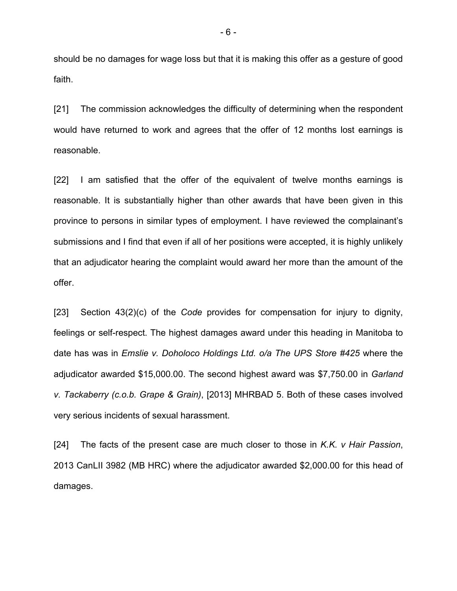should be no damages for wage loss but that it is making this offer as a gesture of good faith.

[21] The commission acknowledges the difficulty of determining when the respondent would have returned to work and agrees that the offer of 12 months lost earnings is reasonable.

[22] I am satisfied that the offer of the equivalent of twelve months earnings is reasonable. It is substantially higher than other awards that have been given in this province to persons in similar types of employment. I have reviewed the complainant's submissions and I find that even if all of her positions were accepted, it is highly unlikely that an adjudicator hearing the complaint would award her more than the amount of the offer.

[23] Section 43(2)(c) of the *Code* provides for compensation for injury to dignity, feelings or self-respect. The highest damages award under this heading in Manitoba to date has was in *Emslie v. Doholoco Holdings Ltd. o/a The UPS Store #425* where the adjudicator awarded \$15,000.00. The second highest award was \$7,750.00 in *Garland v. Tackaberry (c.o.b. Grape & Grain)*, [2013] MHRBAD 5. Both of these cases involved very serious incidents of sexual harassment.

[24] The facts of the present case are much closer to those in *K.K. v Hair Passion*, 2013 CanLII 3982 (MB HRC) where the adjudicator awarded \$2,000.00 for this head of damages.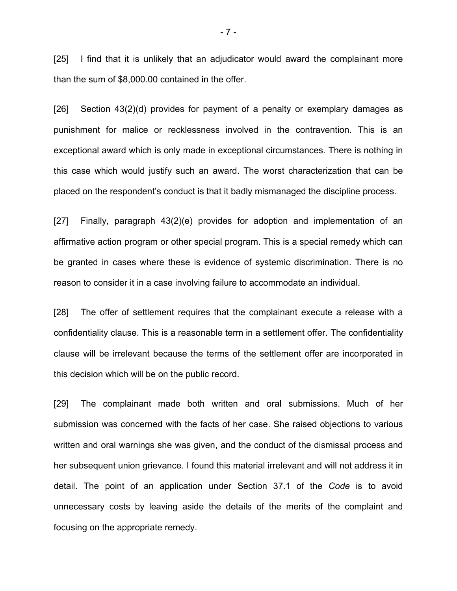[25] I find that it is unlikely that an adjudicator would award the complainant more than the sum of \$8,000.00 contained in the offer.

[26] Section 43(2)(d) provides for payment of a penalty or exemplary damages as punishment for malice or recklessness involved in the contravention. This is an exceptional award which is only made in exceptional circumstances. There is nothing in this case which would justify such an award. The worst characterization that can be placed on the respondent's conduct is that it badly mismanaged the discipline process.

[27] Finally, paragraph 43(2)(e) provides for adoption and implementation of an affirmative action program or other special program. This is a special remedy which can be granted in cases where these is evidence of systemic discrimination. There is no reason to consider it in a case involving failure to accommodate an individual.

[28] The offer of settlement requires that the complainant execute a release with a confidentiality clause. This is a reasonable term in a settlement offer. The confidentiality clause will be irrelevant because the terms of the settlement offer are incorporated in this decision which will be on the public record.

[29] The complainant made both written and oral submissions. Much of her submission was concerned with the facts of her case. She raised objections to various written and oral warnings she was given, and the conduct of the dismissal process and her subsequent union grievance. I found this material irrelevant and will not address it in detail. The point of an application under Section 37.1 of the *Code* is to avoid unnecessary costs by leaving aside the details of the merits of the complaint and focusing on the appropriate remedy.

- 7 -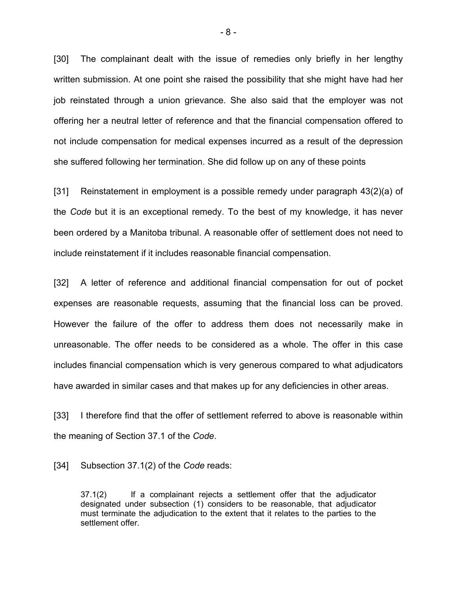[30] The complainant dealt with the issue of remedies only briefly in her lengthy written submission. At one point she raised the possibility that she might have had her job reinstated through a union grievance. She also said that the employer was not offering her a neutral letter of reference and that the financial compensation offered to not include compensation for medical expenses incurred as a result of the depression she suffered following her termination. She did follow up on any of these points

[31] Reinstatement in employment is a possible remedy under paragraph 43(2)(a) of the *Code* but it is an exceptional remedy. To the best of my knowledge, it has never been ordered by a Manitoba tribunal. A reasonable offer of settlement does not need to include reinstatement if it includes reasonable financial compensation.

[32] A letter of reference and additional financial compensation for out of pocket expenses are reasonable requests, assuming that the financial loss can be proved. However the failure of the offer to address them does not necessarily make in unreasonable. The offer needs to be considered as a whole. The offer in this case includes financial compensation which is very generous compared to what adjudicators have awarded in similar cases and that makes up for any deficiencies in other areas.

[33] I therefore find that the offer of settlement referred to above is reasonable within the meaning of Section 37.1 of the *Code*.

[34] Subsection 37.1(2) of the *Code* reads:

37.1(2) If a complainant rejects a settlement offer that the adjudicator designated under subsection (1) considers to be reasonable, that adjudicator must terminate the adjudication to the extent that it relates to the parties to the settlement offer.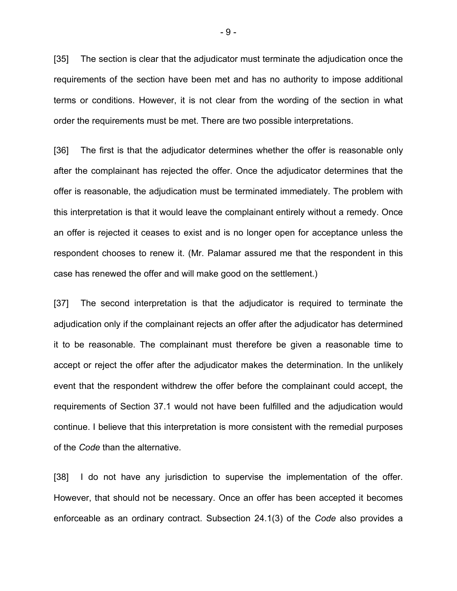[35] The section is clear that the adjudicator must terminate the adjudication once the requirements of the section have been met and has no authority to impose additional terms or conditions. However, it is not clear from the wording of the section in what order the requirements must be met. There are two possible interpretations.

[36] The first is that the adjudicator determines whether the offer is reasonable only after the complainant has rejected the offer. Once the adjudicator determines that the offer is reasonable, the adjudication must be terminated immediately. The problem with this interpretation is that it would leave the complainant entirely without a remedy. Once an offer is rejected it ceases to exist and is no longer open for acceptance unless the respondent chooses to renew it. (Mr. Palamar assured me that the respondent in this case has renewed the offer and will make good on the settlement.)

[37] The second interpretation is that the adjudicator is required to terminate the adjudication only if the complainant rejects an offer after the adjudicator has determined it to be reasonable. The complainant must therefore be given a reasonable time to accept or reject the offer after the adjudicator makes the determination. In the unlikely event that the respondent withdrew the offer before the complainant could accept, the requirements of Section 37.1 would not have been fulfilled and the adjudication would continue. I believe that this interpretation is more consistent with the remedial purposes of the *Code* than the alternative.

[38] I do not have any jurisdiction to supervise the implementation of the offer. However, that should not be necessary. Once an offer has been accepted it becomes enforceable as an ordinary contract. Subsection 24.1(3) of the *Code* also provides a